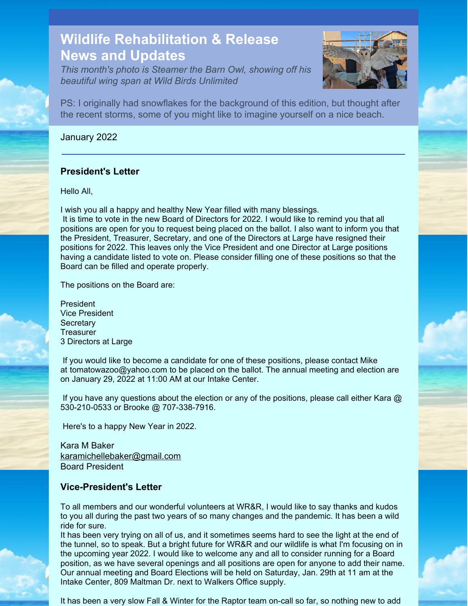# **Wildlife Rehabilitation & Release News and Updates**

*This month's photo is Steamer the Barn Owl, showing off his beautiful wing span at Wild Birds Unlimited*



PS: I originally had snowflakes for the background of this edition, but thought after the recent storms, some of you might like to imagine yourself on a nice beach.

### January 2022

## **President's Letter**

Hello All,

I wish you all a happy and healthy New Year filled with many blessings.

It is time to vote in the new Board of Directors for 2022. I would like to remind you that all positions are open for you to request being placed on the ballot. I also want to inform you that the President, Treasurer, Secretary, and one of the Directors at Large have resigned their positions for 2022. This leaves only the Vice President and one Director at Large positions having a candidate listed to vote on. Please consider filling one of these positions so that the Board can be filled and operate properly.

The positions on the Board are:

President Vice President **Secretary Treasurer** 3 Directors at Large

If you would like to become a candidate for one of these positions, please contact Mike at [tomatowazoo@yahoo.com](https://webmailb.juno.com/webmail/new/21?folder=Inbox&msgNum=00007CG0:001XkZvj00003d5M&count=1640190944&randid=953472270&attachId=0&isUnDisplayableMail=yes&blockImages=0&randid=953472270#) to be placed on the ballot. The annual meeting and election are on January 29, 2022 at 11:00 AM at our Intake Center.

If you have any questions about the election or any of the positions, please call either Kara @ 530-210-0533 or Brooke @ 707-338-7916.

Here's to a happy New Year in 2022.

Kara M Baker [karamichellebaker@gmail.com](mailto:karamichellebaker@gmail.com) Board President

## **Vice-President's Letter**

To all members and our wonderful volunteers at WR&R, I would like to say thanks and kudos to you all during the past two years of so many changes and the pandemic. It has been a wild ride for sure.

It has been very trying on all of us, and it sometimes seems hard to see the light at the end of the tunnel, so to speak. But a bright future for WR&R and our wildlife is what I'm focusing on in the upcoming year 2022. I would like to welcome any and all to consider running for a Board position, as we have several openings and all positions are open for anyone to add their name. Our annual meeting and Board Elections will be held on Saturday, Jan. 29th at 11 am at the Intake Center, 809 Maltman Dr. next to Walkers Office supply.

It has been a very slow Fall & Winter for the Raptor team on-call so far, so nothing new to add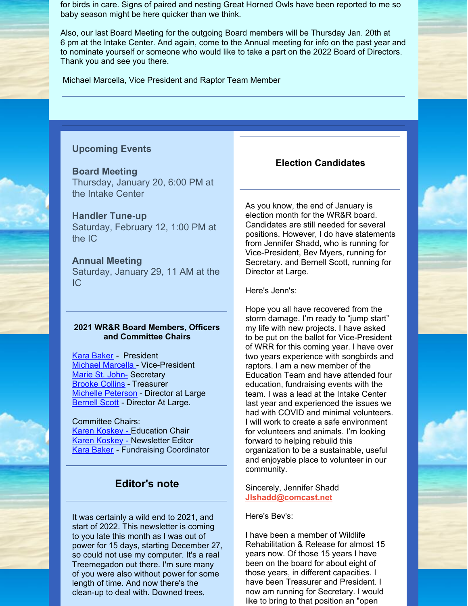for birds in care. Signs of paired and nesting Great Horned Owls have been reported to me so baby season might be here quicker than we think.

Also, our last Board Meeting for the outgoing Board members will be Thursday Jan. 20th at 6 pm at the Intake Center. And again, come to the Annual meeting for info on the past year and to nominate yourself or someone who would like to take a part on the 2022 Board of Directors. Thank you and see you there.

Michael Marcella, Vice President and Raptor Team Member

#### **Upcoming Events**

#### **Board Meeting**

Thursday, January 20, 6:00 PM at the Intake Center

## **Handler Tune-up**

Saturday, February 12, 1:00 PM at the IC

#### **Annual Meeting**

Saturday, January 29, 11 AM at the IC

#### **2021 WR&R Board Members, Officers and Committee Chairs**

Kara [Baker](mailto:karamichellebaker@gmail.com) - President Michael [Marcella](mailto:tomatowazoo@yahoo.com) - Vice-President [Marie](mailto:mlypeterson@comcast.net) St. John- Secretary [Brooke](mailto:brooke116@juno.com) Collins - Treasurer Michelle [Peterson](mailto:mlypeterson@comcast.net ) - Director at Large **[Bernell](mailto:bsscott1@comcast.net) Scott** - Director At Large.

#### Committee Chairs: Karen [Koskey](mailto:kkosk6565@gmail.com) - Education Chair Karen [Koskey](mailto:kkosk6565@gmail.com) - Newsletter Editor **Kara Baker** - Fundraising Coordinator

## **Editor's note**

It was certainly a wild end to 2021, and start of 2022. This newsletter is coming to you late this month as I was out of power for 15 days, starting December 27, so could not use my computer. It's a real Treemegadon out there. I'm sure many of you were also without power for some length of time. And now there's the clean-up to deal with. Downed trees,

#### **Election Candidates**

As you know, the end of January is election month for the WR&R board. Candidates are still needed for several positions. However, I do have statements from Jennifer Shadd, who is running for Vice-President, Bev Myers, running for Secretary. and Bernell Scott, running for Director at Large.

Here's Jenn's:

Hope you all have recovered from the storm damage. I'm ready to "jump start" my life with new projects. I have asked to be put on the ballot for Vice-President of WRR for this coming year. I have over two years experience with songbirds and raptors. I am a new member of the Education Team and have attended four education, fundraising events with the team. I was a lead at the Intake Center last year and experienced the issues we had with COVID and minimal volunteers. I will work to create a safe environment for volunteers and animals. I'm looking forward to helping rebuild this organization to be a sustainable, useful and enjoyable place to volunteer in our community.

Sincerely, Jennifer Shadd **[Jlshadd@comcast.net](mailto:Jlshadd@comcast.net)**

Here's Bev's:

I have been a member of Wildlife Rehabilitation & Release for almost 15 years now. Of those 15 years I have been on the board for about eight of those years, in different capacities. I have been Treasurer and President. I now am running for Secretary. I would like to bring to that position an "open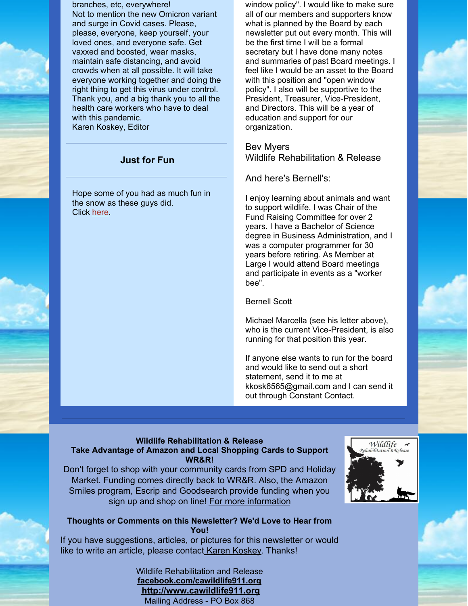branches, etc, everywhere! Not to mention the new Omicron variant and surge in Covid cases. Please, please, everyone, keep yourself, your loved ones, and everyone safe. Get vaxxed and boosted, wear masks, maintain safe distancing, and avoid crowds when at all possible. It will take everyone working together and doing the right thing to get this virus under control. Thank you, and a big thank you to all the health care workers who have to deal with this pandemic. Karen Koskey, Editor

## **Just for Fun**

Hope some of you had as much fun in the snow as these guys did. Click [here](https://www.youtube.com/watch?v=h7GmYJnUtsY).

window policy". I would like to make sure all of our members and supporters know what is planned by the Board by each newsletter put out every month. This will be the first time I will be a formal secretary but I have done many notes and summaries of past Board meetings. I feel like I would be an asset to the Board with this position and "open window policy". I also will be supportive to the President, Treasurer, Vice-President, and Directors. This will be a year of education and support for our organization.

Bev Myers Wildlife Rehabilitation & Release

And here's Bernell's:

I enjoy learning about animals and want to support wildlife. I was Chair of the Fund Raising Committee for over 2 years. I have a Bachelor of Science degree in Business Administration, and I was a computer programmer for 30 years before retiring. As Member at Large I would attend Board meetings and participate in events as a "worker bee".

Bernell Scott

Michael Marcella (see his letter above), who is the current Vice-President, is also running for that position this year.

If anyone else wants to run for the board and would like to send out a short statement, send it to me at kkosk6565@gmail.com and I can send it out through Constant Contact.

## **Wildlife Rehabilitation & Release**

#### **Take Advantage of Amazon and Local Shopping Cards to Support WR&R!**

Don't forget to shop with your community cards from SPD and Holiday Market. Funding comes directly back to WR&R. Also, the Amazon Smiles program, Escrip and Goodsearch provide funding when you sign up and shop on line! For more [information](http://files.constantcontact.com/bfddc254501/b0263f60-1b97-4927-815e-905b53ef07c9.pdf)



#### **Thoughts or Comments on this Newsletter? We'd Love to Hear from You!**

If you have suggestions, articles, or pictures for this newsletter or would like to write an article, please contact Karen [Koskey](mailto:kkosk6565@gmail.com). Thanks!

> Wildlife Rehabilitation and Release **[facebook.com/cawildlife911.org](http://facebook.com/cawildlife911.org) <http://www.cawildlife911.org>** Mailing Address - PO Box 868